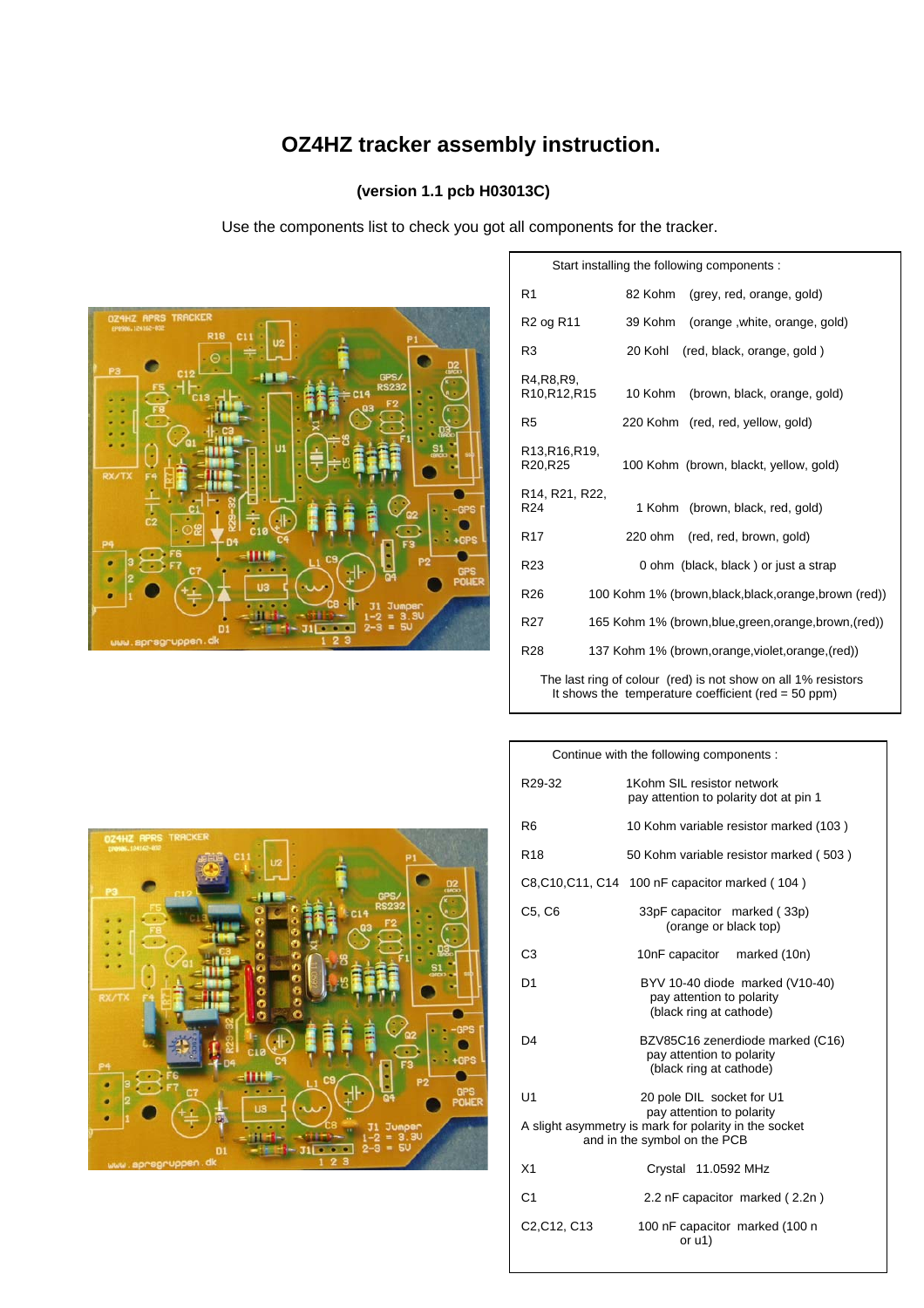# **OZ4HZ tracker assembly instruction.**

## **(version 1.1 pcb H03013C)**

Use the components list to check you got all components for the tracker.



| Start installing the following components :                                                                            |                                                        |  |
|------------------------------------------------------------------------------------------------------------------------|--------------------------------------------------------|--|
| R <sub>1</sub>                                                                                                         | 82 Kohm<br>(grey, red, orange, gold)                   |  |
| R <sub>2</sub> og R <sub>11</sub>                                                                                      | 39 Kohm<br>(orange, white, orange, gold)               |  |
| R3                                                                                                                     | 20 Kohl<br>(red, black, orange, gold)                  |  |
| R4, R8, R9,<br>R <sub>10</sub> , R <sub>12</sub> , R <sub>15</sub>                                                     | (brown, black, orange, gold)<br>10 Kohm                |  |
| R5                                                                                                                     | 220 Kohm (red, red, yellow, gold)                      |  |
| R <sub>13</sub> , R <sub>16</sub> , R <sub>19</sub> ,<br>R20, R25                                                      | 100 Kohm (brown, blackt, yellow, gold)                 |  |
| R <sub>14</sub> , R <sub>21</sub> , R <sub>22</sub> ,<br>R <sub>24</sub>                                               | 1 Kohm<br>(brown, black, red, gold)                    |  |
| R <sub>17</sub>                                                                                                        | 220 ohm<br>(red, red, brown, gold)                     |  |
| R <sub>23</sub>                                                                                                        | 0 ohm (black, black) or just a strap                   |  |
| R <sub>26</sub>                                                                                                        | 100 Kohm 1% (brown, black, black, orange, brown (red)) |  |
| R <sub>27</sub>                                                                                                        | 165 Kohm 1% (brown, blue, green, orange, brown, (red)) |  |
| R28                                                                                                                    | 137 Kohm 1% (brown, orange, violet, orange, (red))     |  |
| The last ring of colour (red) is not show on all 1% resistors<br>It shows the temperature coefficient (red = $50$ ppm) |                                                        |  |



| Continue with the following components:                                                                            |                                                                                          |  |  |
|--------------------------------------------------------------------------------------------------------------------|------------------------------------------------------------------------------------------|--|--|
| R29-32                                                                                                             | 1Kohm SIL resistor network<br>pay attention to polarity dot at pin 1                     |  |  |
| R <sub>6</sub>                                                                                                     | 10 Kohm variable resistor marked (103)                                                   |  |  |
| R <sub>18</sub>                                                                                                    | 50 Kohm variable resistor marked (503)                                                   |  |  |
|                                                                                                                    | C8, C10, C11, C14 100 nF capacitor marked (104)                                          |  |  |
| C5, C6                                                                                                             | 33pF capacitor marked (33p)<br>(orange or black top)                                     |  |  |
| C <sub>3</sub>                                                                                                     | 10nF capacitor marked (10n)                                                              |  |  |
| D <sub>1</sub>                                                                                                     | BYV 10-40 diode marked (V10-40)<br>pay attention to polarity<br>(black ring at cathode)  |  |  |
| D4                                                                                                                 | BZV85C16 zenerdiode marked (C16)<br>pay attention to polarity<br>(black ring at cathode) |  |  |
| U1                                                                                                                 | 20 pole DIL socket for U1                                                                |  |  |
| pay attention to polarity<br>A slight asymmetry is mark for polarity in the socket<br>and in the symbol on the PCB |                                                                                          |  |  |
| X <sub>1</sub>                                                                                                     | Crystal 11.0592 MHz                                                                      |  |  |
| C <sub>1</sub>                                                                                                     | 2.2 nF capacitor marked (2.2n)                                                           |  |  |
| C <sub>2</sub> , C <sub>12</sub> , C <sub>13</sub>                                                                 | 100 nF capacitor marked (100 n<br>or u1)                                                 |  |  |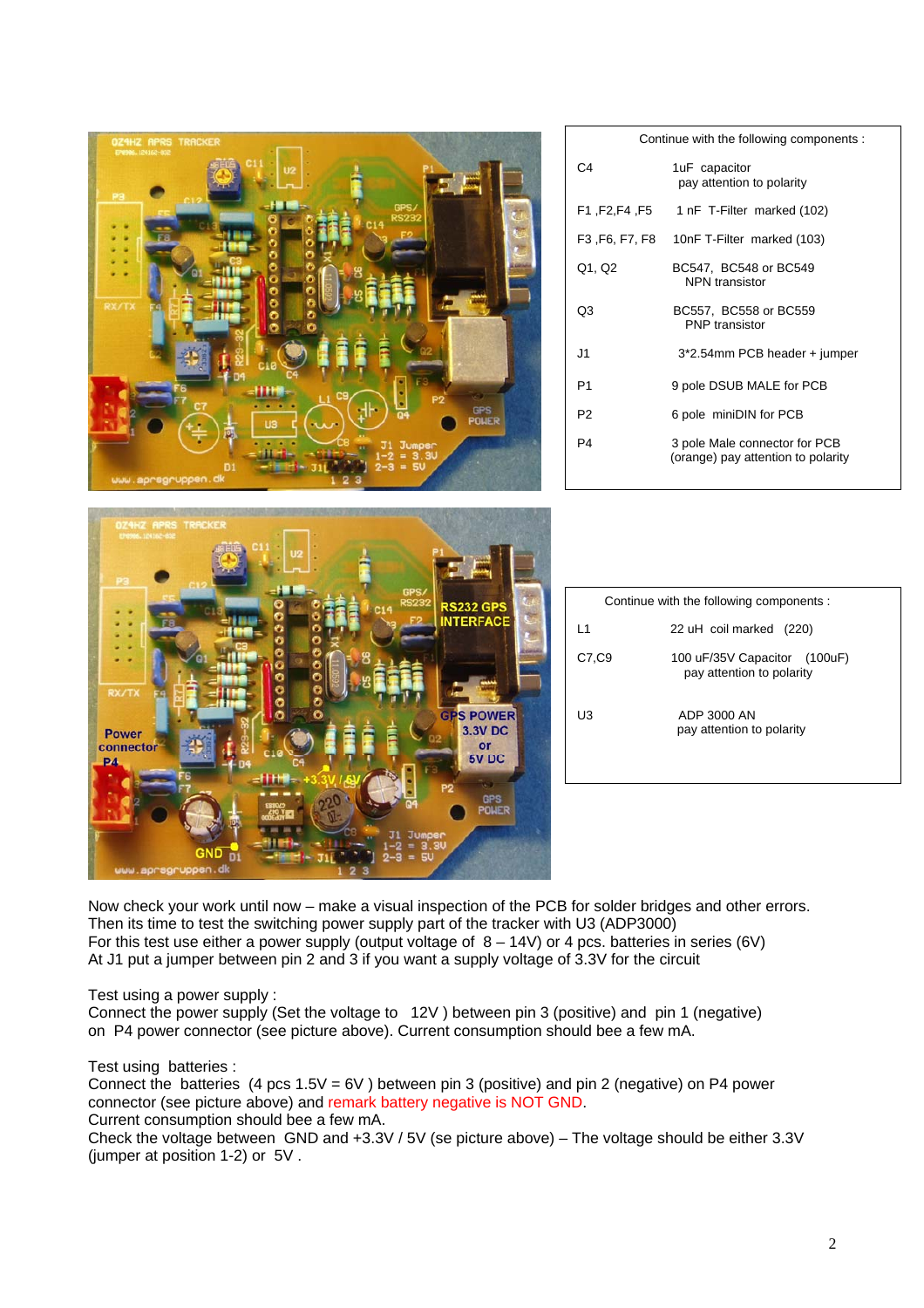| <b>OZ4HZ APRS TRACKER</b><br><b>PROG. 124162-832</b>                           |                | Continue with the following components :                            |
|--------------------------------------------------------------------------------|----------------|---------------------------------------------------------------------|
|                                                                                | C <sub>4</sub> | 1uF capacitor<br>pay attention to polarity                          |
|                                                                                | F1, F2, F4, F5 | 1 nF T-Filter marked (102)                                          |
|                                                                                | F3, F6, F7, F8 | 10nF T-Filter marked (103)                                          |
|                                                                                | Q1, Q2         | BC547, BC548 or BC549<br><b>NPN</b> transistor                      |
| <b>XX/TX</b>                                                                   | Q <sub>3</sub> | BC557, BC558 or BC559<br>PNP transistor                             |
|                                                                                | J1             | 3*2.54mm PCB header + jumper                                        |
|                                                                                | P <sub>1</sub> | 9 pole DSUB MALE for PCB                                            |
| GPS<br>POWER                                                                   | P <sub>2</sub> | 6 pole miniDIN for PCB                                              |
| www.aprsgruppen.dk                                                             | P <sub>4</sub> | 3 pole Male connector for PCB<br>(orange) pay attention to polarity |
| DZ4HZ APRS TRACKER                                                             |                |                                                                     |
| <b>RS232 GPS</b>                                                               |                | Continue with the following components :                            |
| <b>NTERFACE</b>                                                                | L1             | 22 uH coil marked (220)                                             |
| o<br>$\frac{1}{2}$<br>RX/TX                                                    | C7,C9          | 100 uF/35V Capacitor (100uF)<br>pay attention to polarity           |
| <b>GPS POWER</b><br><b>3.3V DC</b><br><b>Power</b><br>connector<br>or<br>5V DC | U <sub>3</sub> | ADP 3000 AN<br>pay attention to polarity                            |
| <b>GPS</b><br><b>POLIER</b>                                                    |                |                                                                     |
| www.aprsgruppen.dk                                                             |                |                                                                     |

Now check your work until now – make a visual inspection of the PCB for solder bridges and other errors. Then its time to test the switching power supply part of the tracker with U3 (ADP3000) For this test use either a power supply (output voltage of  $8 - 14V$ ) or 4 pcs. batteries in series (6V) At J1 put a jumper between pin 2 and 3 if you want a supply voltage of 3.3V for the circuit

Test using a power supply :

Connect the power supply (Set the voltage to 12V ) between pin 3 (positive) and pin 1 (negative) on P4 power connector (see picture above). Current consumption should bee a few mA.

Test using batteries :

Connect the batteries (4 pcs  $1.5V = 6V$ ) between pin 3 (positive) and pin 2 (negative) on P4 power connector (see picture above) and remark battery negative is NOT GND. Current consumption should bee a few mA.

Check the voltage between GND and +3.3V / 5V (se picture above) – The voltage should be either 3.3V (jumper at position 1-2) or 5V .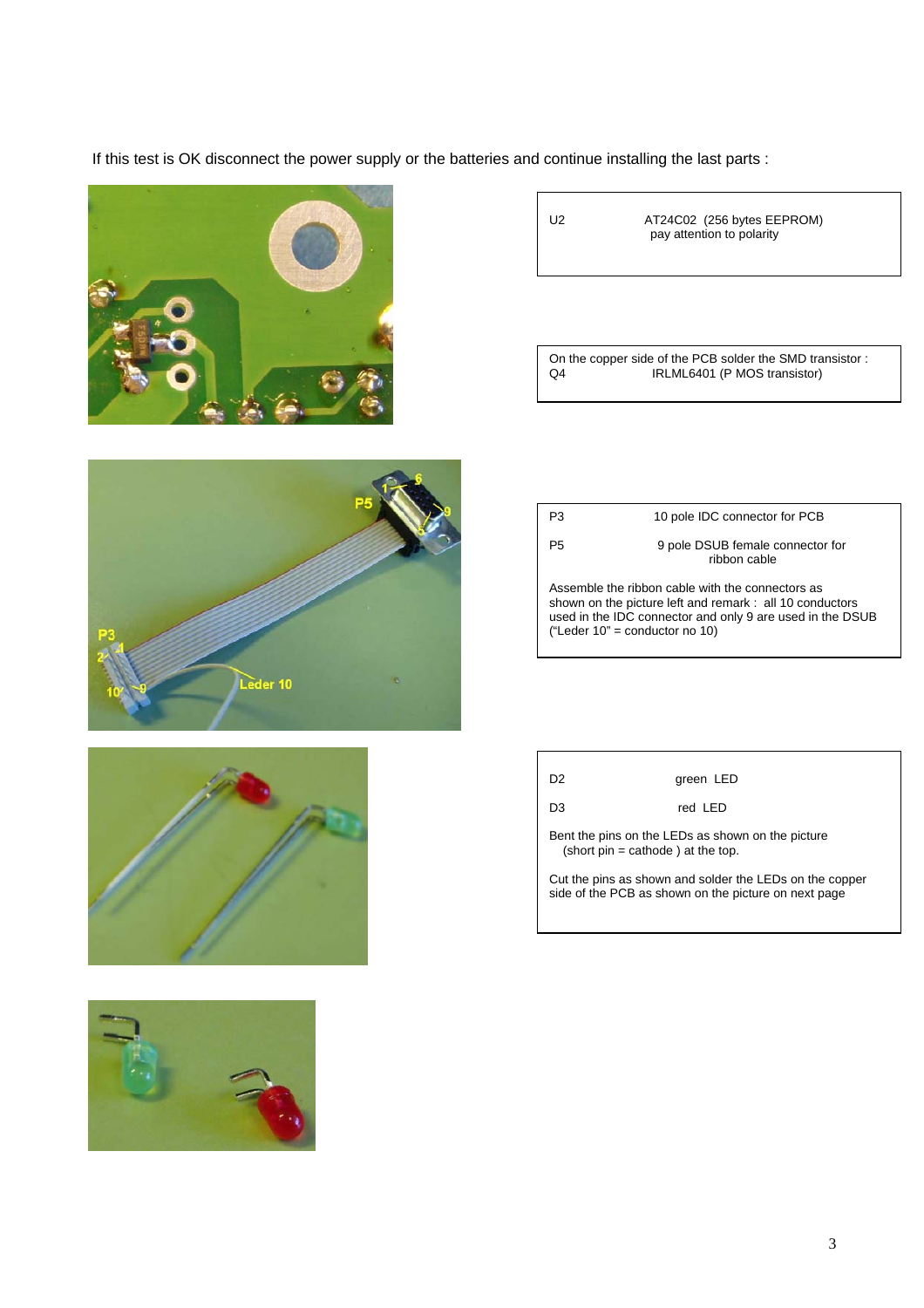If this test is OK disconnect the power supply or the batteries and continue installing the last parts :









U2 AT24C02 (256 bytes EEPROM) pay attention to polarity

On the copper side of the PCB solder the SMD transistor : Q4 IRLML6401 (P MOS transistor)

P3 10 pole IDC connector for PCB P5 9 pole DSUB female connector for ribbon cable Assemble the ribbon cable with the connectors as

shown on the picture left and remark : all 10 conductors used in the IDC connector and only 9 are used in the DSUB ("Leder 10" = conductor no 10)

| D <sub>2</sub>                                                                            | green LED                                                                                                       |  |
|-------------------------------------------------------------------------------------------|-----------------------------------------------------------------------------------------------------------------|--|
| D3                                                                                        | red IFD                                                                                                         |  |
| Bent the pins on the LEDs as shown on the picture<br>(short $pin = cathode$ ) at the top. |                                                                                                                 |  |
|                                                                                           | Cut the pins as shown and solder the LEDs on the copper<br>side of the PCB as shown on the picture on next page |  |

Г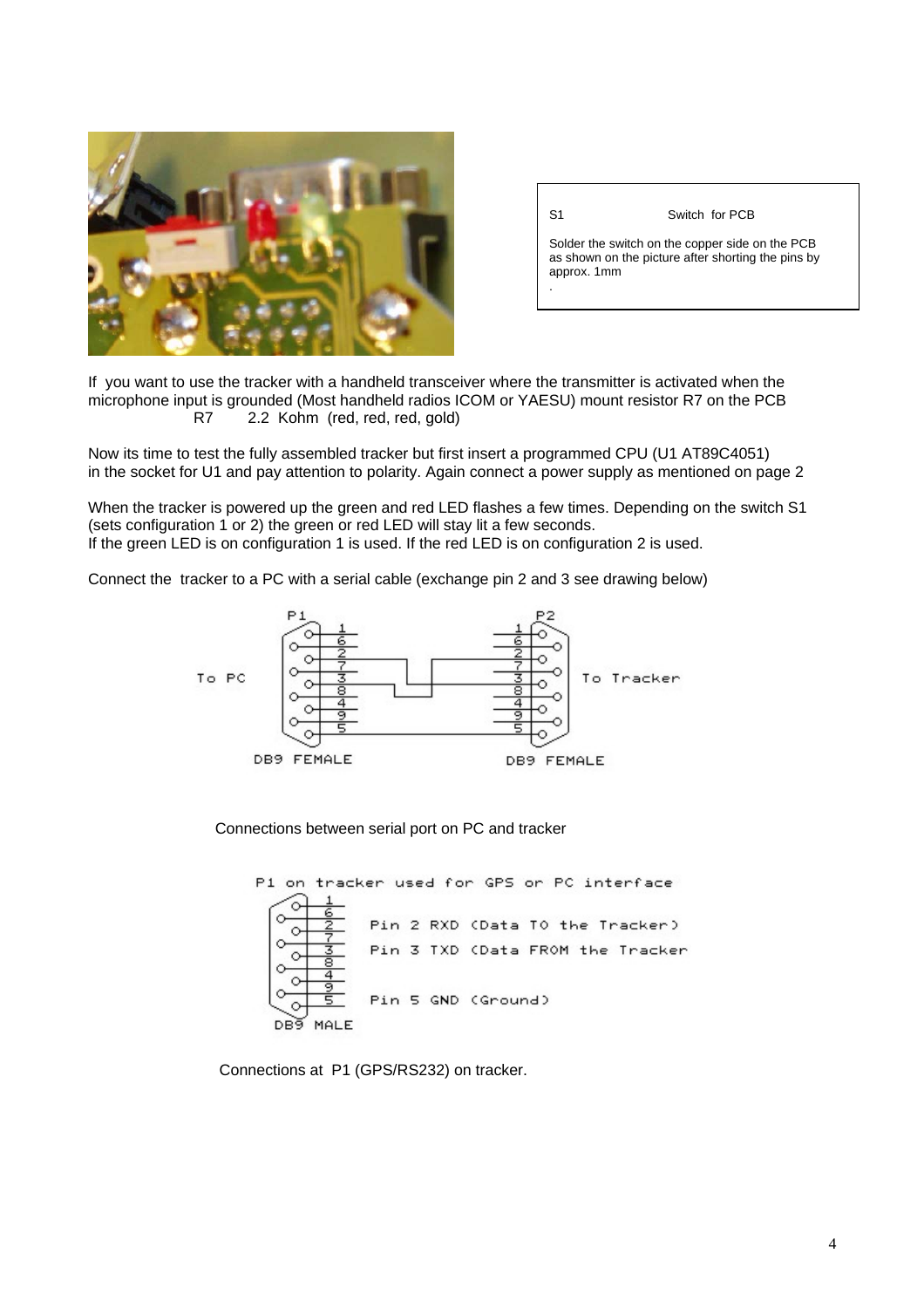

| S1 | Switch for PCB |
|----|----------------|
|    |                |

Solder the switch on the copper side on the PCB as shown on the picture after shorting the pins by approx. 1mm .

If you want to use the tracker with a handheld transceiver where the transmitter is activated when the microphone input is grounded (Most handheld radios ICOM or YAESU) mount resistor R7 on the PCB R7 2.2 Kohm (red, red, red, gold)

Now its time to test the fully assembled tracker but first insert a programmed CPU (U1 AT89C4051) in the socket for U1 and pay attention to polarity. Again connect a power supply as mentioned on page 2

When the tracker is powered up the green and red LED flashes a few times. Depending on the switch S1 (sets configuration 1 or 2) the green or red LED will stay lit a few seconds. If the green LED is on configuration 1 is used. If the red LED is on configuration 2 is used.

Connect the tracker to a PC with a serial cable (exchange pin 2 and 3 see drawing below)



Connections between serial port on PC and tracker



Connections at P1 (GPS/RS232) on tracker.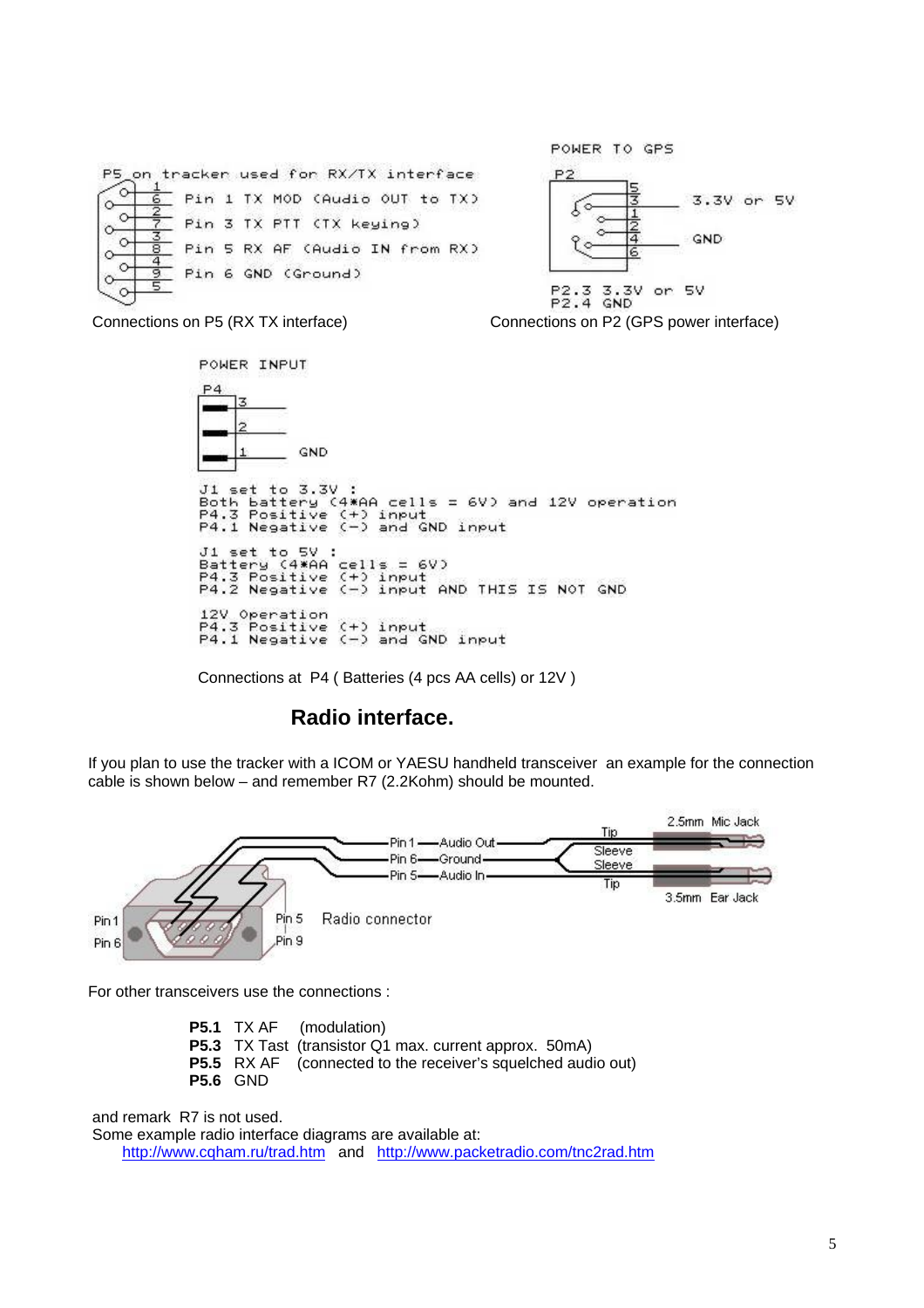

POWER INPUT GND Ji set to 3.3V :<br>Both battery (4\*AA cells = 6V) and 12V operation<br>P4.3 Positive (+) input P4.3 Positive (+) input<br>P4.1 Negative (-) and GND input J1 set to 5V :<br>Battery (4\*AA cells = 6V)<br>P4.3 Positive (+) input<br>P4.2 Negative (-) input AND THIS IS NOT GND 12V Operation<br>P4.3 Positive (+) input<br>P4.1 Negative (-) and GND input

Connections at P4 ( Batteries (4 pcs AA cells) or 12V )

## **Radio interface.**

If you plan to use the tracker with a ICOM or YAESU handheld transceiver an example for the connection cable is shown below – and remember R7 (2.2Kohm) should be mounted.



For other transceivers use the connections :

**P5.1** TX AF (modulation) **P5.3** TX Tast (transistor Q1 max. current approx. 50mA) **P5.5** RX AF (connected to the receiver's squelched audio out) **P5.6** GND

and remark R7 is not used.

Some example radio interface diagrams are available at:

http://www.cqham.ru/trad.htm and http://www.packetradio.com/tnc2rad.htm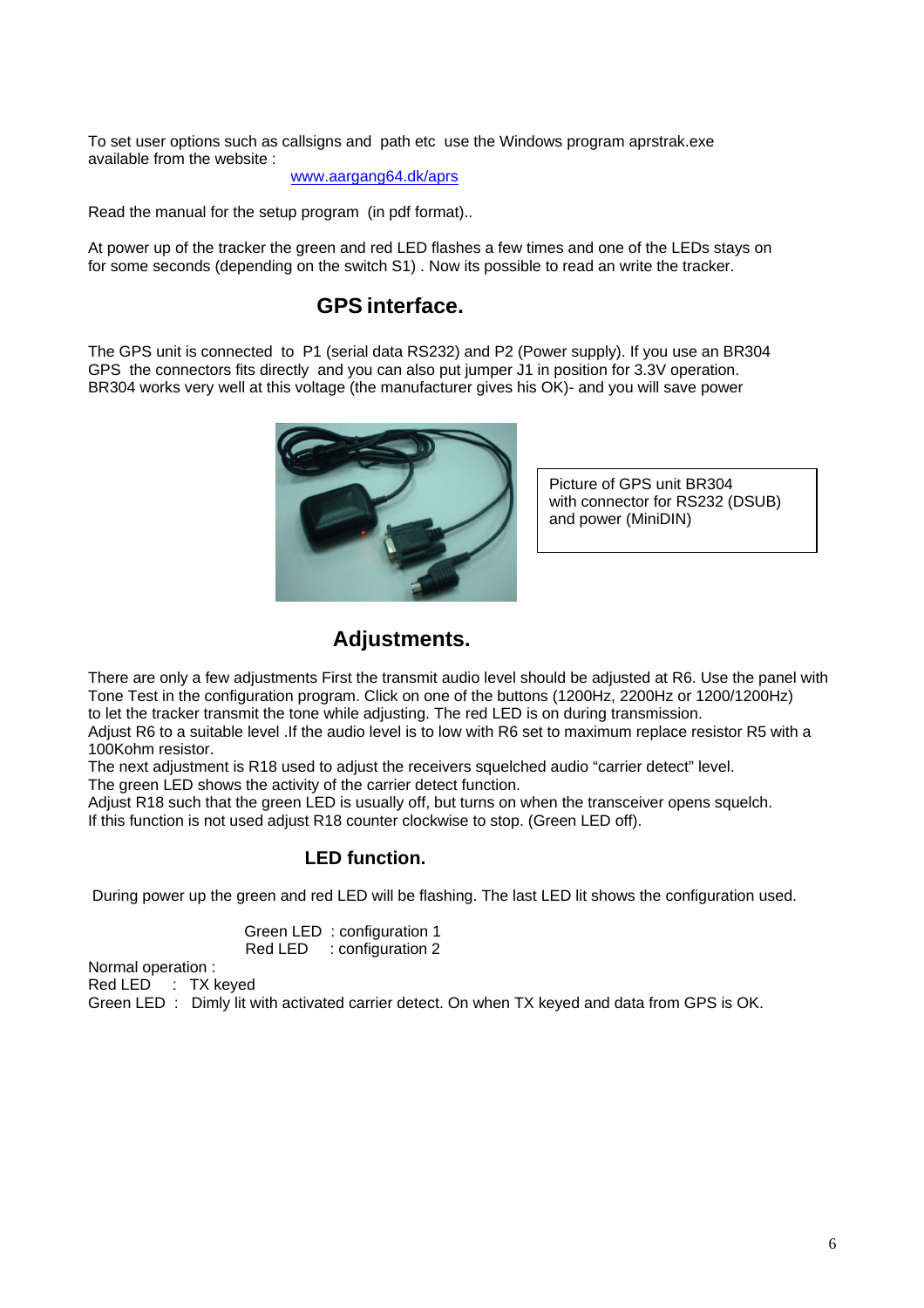To set user options such as callsigns and path etc use the Windows program aprstrak.exe available from the website :

www.aargang64.dk/aprs

Read the manual for the setup program (in pdf format)..

At power up of the tracker the green and red LED flashes a few times and one of the LEDs stays on for some seconds (depending on the switch S1) . Now its possible to read an write the tracker.

## **GPS interface.**

The GPS unit is connected to P1 (serial data RS232) and P2 (Power supply). If you use an BR304 GPS the connectors fits directly and you can also put jumper J1 in position for 3.3V operation. BR304 works very well at this voltage (the manufacturer gives his OK)- and you will save power



Picture of GPS unit BR304 with connector for RS232 (DSUB) and power (MiniDIN)

## **Adjustments.**

There are only a few adjustments First the transmit audio level should be adjusted at R6. Use the panel with Tone Test in the configuration program. Click on one of the buttons (1200Hz, 2200Hz or 1200/1200Hz) to let the tracker transmit the tone while adjusting. The red LED is on during transmission.

Adjust R6 to a suitable level .If the audio level is to low with R6 set to maximum replace resistor R5 with a 100Kohm resistor.

The next adjustment is R18 used to adjust the receivers squelched audio "carrier detect" level.

The green LED shows the activity of the carrier detect function.

Adjust R18 such that the green LED is usually off, but turns on when the transceiver opens squelch. If this function is not used adjust R18 counter clockwise to stop. (Green LED off).

#### **LED function.**

During power up the green and red LED will be flashing. The last LED lit shows the configuration used.

 Green LED : configuration 1 Red LED : configuration 2

Normal operation :

Red LED : TX keyed

Green LED : Dimly lit with activated carrier detect. On when TX keyed and data from GPS is OK.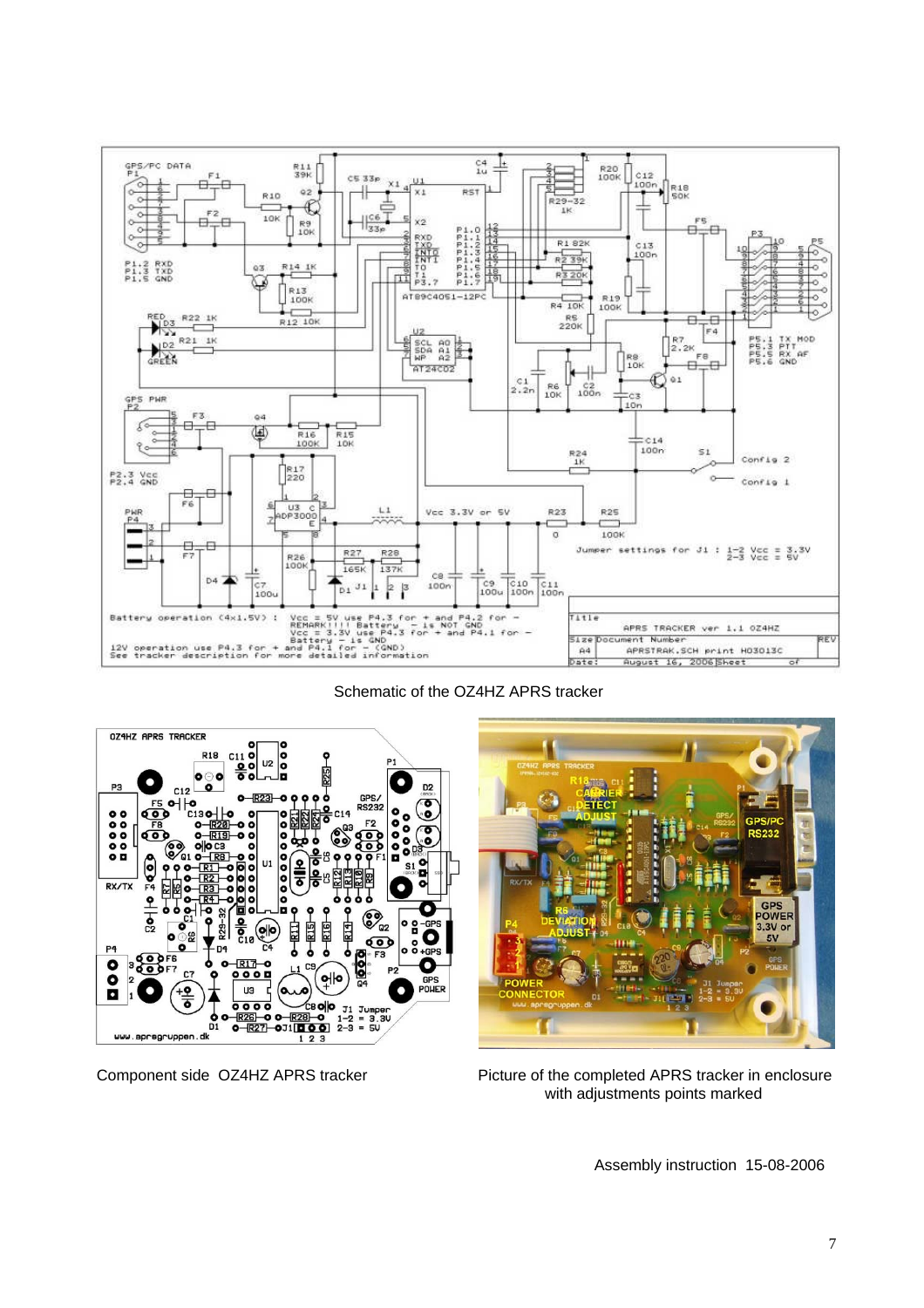

Schematic of the OZ4HZ APRS tracker





Component side OZ4HZ APRS tracker Picture of the completed APRS tracker in enclosure with adjustments points marked

Assembly instruction 15-08-2006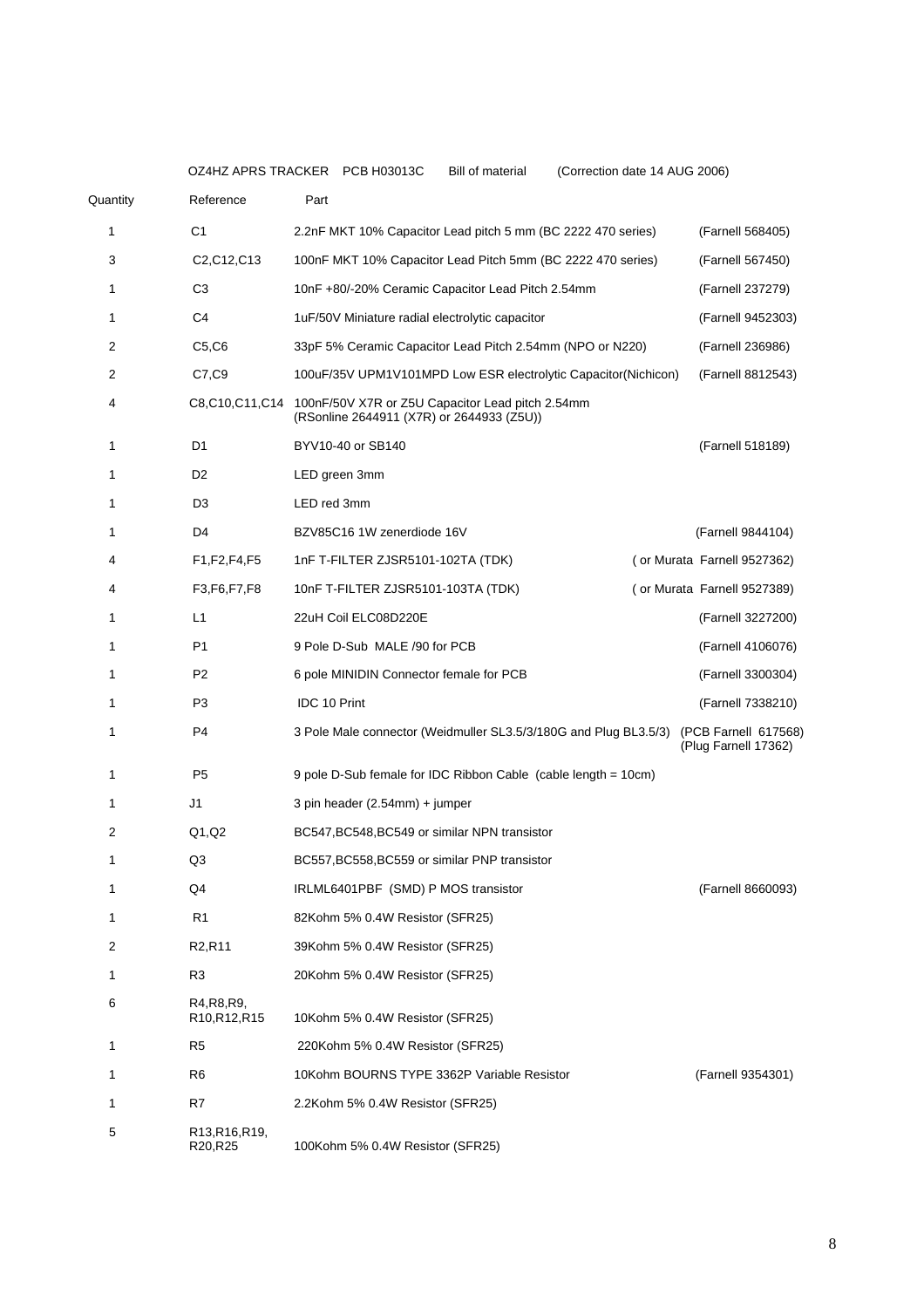|          |                                                                    | OZ4HZ APRS TRACKER PCB H03013C<br>(Correction date 14 AUG 2006)<br><b>Bill of material</b>                   |                                              |
|----------|--------------------------------------------------------------------|--------------------------------------------------------------------------------------------------------------|----------------------------------------------|
| Quantity | Reference                                                          | Part                                                                                                         |                                              |
| 1        | C <sub>1</sub>                                                     | 2.2nF MKT 10% Capacitor Lead pitch 5 mm (BC 2222 470 series)                                                 | (Farnell 568405)                             |
| 3        | C <sub>2</sub> ,C <sub>12</sub> ,C <sub>13</sub>                   | 100nF MKT 10% Capacitor Lead Pitch 5mm (BC 2222 470 series)                                                  | (Farnell 567450)                             |
| 1        | C <sub>3</sub>                                                     | 10nF +80/-20% Ceramic Capacitor Lead Pitch 2.54mm                                                            | (Farnell 237279)                             |
| 1        | C <sub>4</sub>                                                     | 1uF/50V Miniature radial electrolytic capacitor                                                              | (Farnell 9452303)                            |
| 2        | C5, C6                                                             | 33pF 5% Ceramic Capacitor Lead Pitch 2.54mm (NPO or N220)                                                    | (Farnell 236986)                             |
| 2        | C7,C9                                                              | 100uF/35V UPM1V101MPD Low ESR electrolytic Capacitor(Nichicon)                                               | (Farnell 8812543)                            |
| 4        |                                                                    | C8,C10,C11,C14 100nF/50V X7R or Z5U Capacitor Lead pitch 2.54mm<br>(RSonline 2644911 (X7R) or 2644933 (Z5U)) |                                              |
| 1        | D <sub>1</sub>                                                     | BYV10-40 or SB140                                                                                            | (Farnell 518189)                             |
| 1        | D <sub>2</sub>                                                     | LED green 3mm                                                                                                |                                              |
| 1        | D <sub>3</sub>                                                     | LED red 3mm                                                                                                  |                                              |
| 1        | D4                                                                 | BZV85C16 1W zenerdiode 16V                                                                                   | (Farnell 9844104)                            |
| 4        | F1, F2, F4, F5                                                     | 1nF T-FILTER ZJSR5101-102TA (TDK)                                                                            | (or Murata Farnell 9527362)                  |
| 4        | F3, F6, F7, F8                                                     | 10nF T-FILTER ZJSR5101-103TA (TDK)                                                                           | (or Murata Farnell 9527389)                  |
| 1        | L1                                                                 | 22uH Coil ELC08D220E                                                                                         | (Farnell 3227200)                            |
| 1        | P <sub>1</sub>                                                     | 9 Pole D-Sub MALE /90 for PCB                                                                                | (Farnell 4106076)                            |
| 1        | P <sub>2</sub>                                                     | 6 pole MINIDIN Connector female for PCB                                                                      | (Farnell 3300304)                            |
| 1        | P <sub>3</sub>                                                     | IDC 10 Print                                                                                                 | (Farnell 7338210)                            |
| 1        | P <sub>4</sub>                                                     | 3 Pole Male connector (Weidmuller SL3.5/3/180G and Plug BL3.5/3)                                             | (PCB Farnell 617568)<br>(Plug Farnell 17362) |
| 1        | P <sub>5</sub>                                                     | 9 pole D-Sub female for IDC Ribbon Cable (cable length = 10cm)                                               |                                              |
| 1        | J1                                                                 | 3 pin header (2.54mm) + jumper                                                                               |                                              |
| 2        | Q1, Q2                                                             | BC547, BC548, BC549 or similar NPN transistor                                                                |                                              |
| 1        | Q3                                                                 | BC557,BC558,BC559 or similar PNP transistor                                                                  |                                              |
| 1        | Q4                                                                 | IRLML6401PBF (SMD) P MOS transistor                                                                          | (Farnell 8660093)                            |
| 1        | R <sub>1</sub>                                                     | 82Kohm 5% 0.4W Resistor (SFR25)                                                                              |                                              |
| 2        | R <sub>2</sub> ,R <sub>11</sub>                                    | 39Kohm 5% 0.4W Resistor (SFR25)                                                                              |                                              |
| 1        | R <sub>3</sub>                                                     | 20Kohm 5% 0.4W Resistor (SFR25)                                                                              |                                              |
| 6        | R4, R8, R9,<br>R <sub>10</sub> , R <sub>12</sub> , R <sub>15</sub> | 10Kohm 5% 0.4W Resistor (SFR25)                                                                              |                                              |
| 1        | R <sub>5</sub>                                                     | 220Kohm 5% 0.4W Resistor (SFR25)                                                                             |                                              |
| 1        | R <sub>6</sub>                                                     | 10Kohm BOURNS TYPE 3362P Variable Resistor                                                                   | (Farnell 9354301)                            |
| 1        | R7                                                                 | 2.2Kohm 5% 0.4W Resistor (SFR25)                                                                             |                                              |
| 5        | R13, R16, R19,<br>R20, R25                                         | 100Kohm 5% 0.4W Resistor (SFR25)                                                                             |                                              |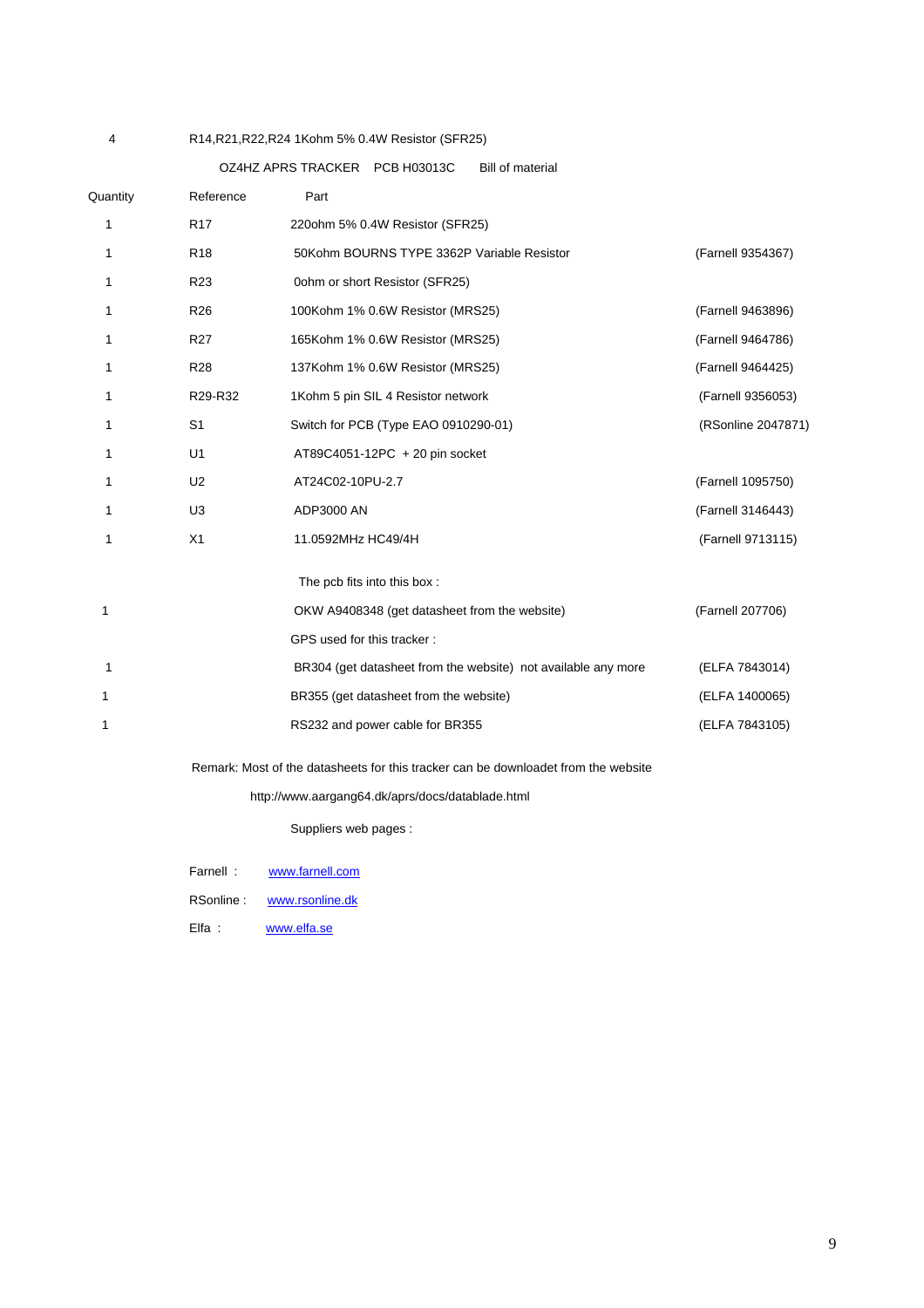#### 4 R14,R21,R22,R24 1Kohm 5% 0.4W Resistor (SFR25)

OZ4HZ APRS TRACKER PCB H03013C Bill of material

| Quantity | Reference       | Part                                                          |                    |
|----------|-----------------|---------------------------------------------------------------|--------------------|
| 1        | <b>R17</b>      | 220ohm 5% 0.4W Resistor (SFR25)                               |                    |
| 1        | R <sub>18</sub> | 50Kohm BOURNS TYPE 3362P Variable Resistor                    | (Farnell 9354367)  |
| 1        | R <sub>23</sub> | 0ohm or short Resistor (SFR25)                                |                    |
| 1        | R <sub>26</sub> | 100Kohm 1% 0.6W Resistor (MRS25)                              | (Farnell 9463896)  |
| 1        | <b>R27</b>      | 165Kohm 1% 0.6W Resistor (MRS25)                              | (Farnell 9464786)  |
| 1        | <b>R28</b>      | 137Kohm 1% 0.6W Resistor (MRS25)                              | (Farnell 9464425)  |
| 1        | R29-R32         | 1Kohm 5 pin SIL 4 Resistor network                            | (Farnell 9356053)  |
| 1        | S <sub>1</sub>  | Switch for PCB (Type EAO 0910290-01)                          | (RSonline 2047871) |
|          | U1              | AT89C4051-12PC + 20 pin socket                                |                    |
| 1        | U <sub>2</sub>  | AT24C02-10PU-2.7                                              | (Farnell 1095750)  |
| 1        | U3              | ADP3000 AN                                                    | (Farnell 3146443)  |
| 1        | X1              | 11.0592MHz HC49/4H                                            | (Farnell 9713115)  |
|          |                 | The pcb fits into this box:                                   |                    |
| 1        |                 | OKW A9408348 (get datasheet from the website)                 | (Farnell 207706)   |
|          |                 | GPS used for this tracker:                                    |                    |
| 1        |                 | BR304 (get datasheet from the website) not available any more | (ELFA 7843014)     |
| 1        |                 | BR355 (get datasheet from the website)                        | (ELFA 1400065)     |
| 1        |                 | RS232 and power cable for BR355                               | (ELFA 7843105)     |
|          |                 |                                                               |                    |

Remark: Most of the datasheets for this tracker can be downloadet from the website

http://www.aargang64.dk/aprs/docs/datablade.html

Suppliers web pages :

RSonline : www.rsonline.dk

Elfa : www.elfa.se